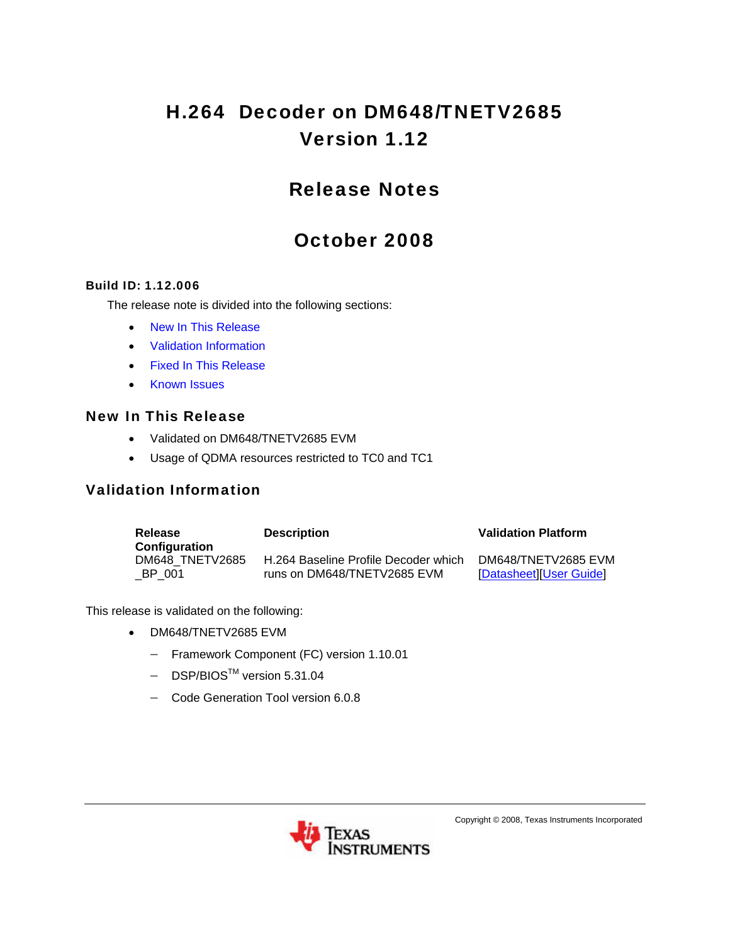# H.264 Decoder on DM648/TNETV2685 Version 1.12

# Release Notes

# October 2008

#### Build ID: 1.12.006

The release note is divided into the following sections:

- [New In This Release](#page-0-0)
- [Validation Information](#page-0-1)
- [Fixed In This Release](#page-1-0)
- [Known Issues](#page-1-1)

#### <span id="page-0-0"></span>New In This Release

- Validated on DM648/TNETV2685 EVM
- Usage of QDMA resources restricted to TC0 and TC1

### <span id="page-0-1"></span>Validation Information

| Release<br>Configuration | <b>Description</b>                   | <b>Validation Platform</b> |
|--------------------------|--------------------------------------|----------------------------|
| DM648 TNETV2685          | H.264 Baseline Profile Decoder which | DM648/TNETV2685 EVM        |
| BP 001                   | runs on DM648/TNETV2685 EVM          | [Datasheet][User Guide]    |

This release is validated on the following:

- DM648/TNETV2685 EVM
	- − Framework Component (FC) version 1.10.01
	- − DSP/BIOSTM version 5.31.04
	- − Code Generation Tool version 6.0.8



Copyright © 2008, Texas Instruments Incorporated